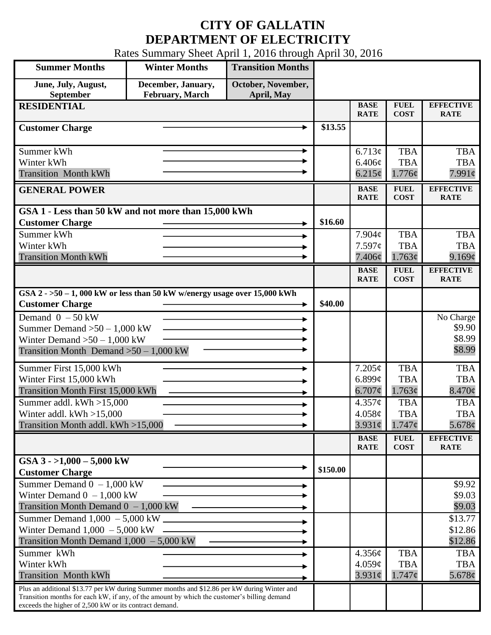## **CITY OF GALLATIN DEPARTMENT OF ELECTRICITY**

Rates Summary Sheet April 1, 2016 through April 30, 2016

| <b>Summer Months</b>                                                                                                                                  | <b>Winter Months</b>                         | <b>Transition Months</b>         |          |                            |                            |                                 |
|-------------------------------------------------------------------------------------------------------------------------------------------------------|----------------------------------------------|----------------------------------|----------|----------------------------|----------------------------|---------------------------------|
| June, July, August,<br>September                                                                                                                      | December, January,<br><b>February, March</b> | October, November,<br>April, May |          |                            |                            |                                 |
| <b>RESIDENTIAL</b>                                                                                                                                    |                                              |                                  |          | <b>BASE</b>                | <b>FUEL</b>                | <b>EFFECTIVE</b>                |
|                                                                                                                                                       |                                              |                                  |          | <b>RATE</b>                | <b>COST</b>                | <b>RATE</b>                     |
| <b>Customer Charge</b>                                                                                                                                |                                              |                                  | \$13.55  |                            |                            |                                 |
|                                                                                                                                                       |                                              |                                  |          |                            |                            |                                 |
| Summer kWh                                                                                                                                            |                                              | ۰                                |          | 6.713¢                     | <b>TBA</b>                 | <b>TBA</b>                      |
| Winter kWh                                                                                                                                            |                                              |                                  |          | 6.406¢                     | <b>TBA</b>                 | <b>TBA</b>                      |
| <b>Transition Month kWh</b>                                                                                                                           |                                              |                                  |          | 6.215¢                     | 1.776¢                     | $7.991\phi$                     |
| <b>GENERAL POWER</b>                                                                                                                                  |                                              |                                  |          | <b>BASE</b><br><b>RATE</b> | <b>FUEL</b><br><b>COST</b> | <b>EFFECTIVE</b><br><b>RATE</b> |
| GSA 1 - Less than 50 kW and not more than 15,000 kWh                                                                                                  |                                              |                                  |          |                            |                            |                                 |
| <b>Customer Charge</b>                                                                                                                                |                                              |                                  | \$16.60  |                            |                            |                                 |
| Summer kWh                                                                                                                                            |                                              |                                  |          | $7.904\mathcal{C}$         | <b>TBA</b>                 | <b>TBA</b>                      |
| Winter kWh                                                                                                                                            |                                              |                                  |          | 7.597c                     | <b>TBA</b>                 | <b>TBA</b>                      |
| <b>Transition Month kWh</b>                                                                                                                           |                                              |                                  |          | 7.406¢                     | 1.763¢                     | 9.169¢                          |
|                                                                                                                                                       |                                              |                                  |          | <b>BASE</b>                | <b>FUEL</b>                | <b>EFFECTIVE</b>                |
|                                                                                                                                                       |                                              |                                  |          | <b>RATE</b>                | <b>COST</b>                | <b>RATE</b>                     |
| GSA $2 - 50 - 1$ , 000 kW or less than 50 kW w/energy usage over 15,000 kWh                                                                           |                                              |                                  |          |                            |                            |                                 |
| <b>Customer Charge</b>                                                                                                                                |                                              |                                  | \$40.00  |                            |                            |                                 |
| Demand $0 - 50$ kW                                                                                                                                    |                                              |                                  |          |                            |                            | No Charge                       |
| Summer Demand $>50 - 1,000$ kW                                                                                                                        |                                              |                                  |          |                            |                            | \$9.90                          |
| Winter Demand $>50-1,000$ kW                                                                                                                          |                                              |                                  |          |                            |                            | \$8.99                          |
| Transition Month Demand $>50-1,000$ kW                                                                                                                |                                              |                                  |          |                            |                            | \$8.99                          |
| Summer First 15,000 kWh                                                                                                                               |                                              |                                  |          | 7.205¢                     | <b>TBA</b>                 | <b>TBA</b>                      |
| Winter First 15,000 kWh                                                                                                                               |                                              |                                  |          | 6.899 $\phi$               | <b>TBA</b>                 | <b>TBA</b>                      |
| <b>Transition Month First 15,000 kWh</b>                                                                                                              |                                              |                                  |          | $6.707\phi$                | 1.763¢                     | $8.470\phi$                     |
| Summer addl. kWh >15,000                                                                                                                              |                                              |                                  |          | 4.357¢                     | <b>TBA</b>                 | <b>TBA</b>                      |
| Winter addl. $kWh > 15,000$                                                                                                                           |                                              |                                  |          | 4.058¢                     | <b>TBA</b>                 | <b>TBA</b>                      |
| Transition Month addl. kWh >15,000                                                                                                                    |                                              |                                  |          | $3.931\mathcal{C}$         | $1.747\phi$                | 5.678 $\phi$                    |
|                                                                                                                                                       |                                              |                                  |          | <b>BASE</b>                | <b>FUEL</b>                | <b>EFFECTIVE</b>                |
|                                                                                                                                                       |                                              |                                  |          | <b>RATE</b>                | <b>COST</b>                | <b>RATE</b>                     |
| GSA $3 - 1,000 - 5,000$ kW                                                                                                                            |                                              |                                  |          |                            |                            |                                 |
| <b>Customer Charge</b>                                                                                                                                |                                              |                                  | \$150.00 |                            |                            |                                 |
| Summer Demand $0 - 1,000$ kW                                                                                                                          |                                              |                                  |          |                            |                            | \$9.92                          |
| Winter Demand $0 - 1,000$ kW                                                                                                                          |                                              |                                  |          |                            |                            | \$9.03                          |
| Transition Month Demand $0 - 1,000$ kW                                                                                                                |                                              |                                  |          |                            |                            | \$9.03                          |
| Summer Demand $1,000 - 5,000$ kW ______                                                                                                               |                                              |                                  |          |                            |                            | \$13.77                         |
| Winter Demand $1,000 - 5,000$ kW                                                                                                                      |                                              |                                  |          |                            |                            | \$12.86                         |
| Transition Month Demand $1,000 - 5,000$ kW                                                                                                            |                                              |                                  |          |                            |                            | \$12.86                         |
| Summer kWh                                                                                                                                            |                                              |                                  |          | 4.356¢                     | <b>TBA</b>                 | <b>TBA</b>                      |
| Winter kWh                                                                                                                                            |                                              |                                  |          | 4.059¢                     | <b>TBA</b>                 | <b>TBA</b>                      |
| <b>Transition Month kWh</b>                                                                                                                           |                                              |                                  |          | $3.931\phi$                | $1.747\phi$                | $5.678\phi$                     |
| Plus an additional \$13.77 per kW during Summer months and \$12.86 per kW during Winter and                                                           |                                              |                                  |          |                            |                            |                                 |
| Transition months for each kW, if any, of the amount by which the customer's billing demand<br>exceeds the higher of 2,500 kW or its contract demand. |                                              |                                  |          |                            |                            |                                 |
|                                                                                                                                                       |                                              |                                  |          |                            |                            |                                 |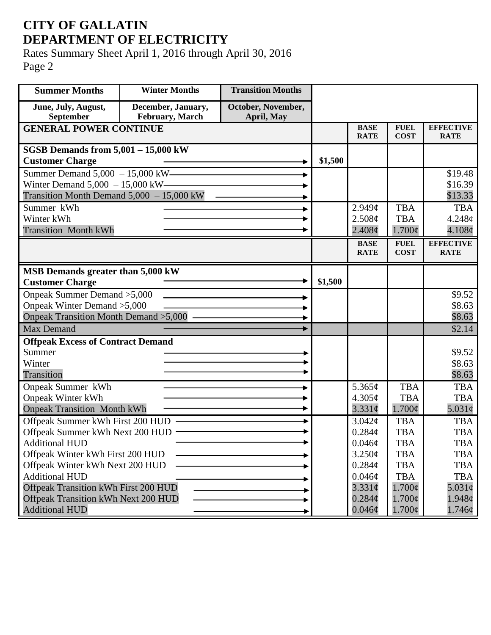## **CITY OF GALLATIN DEPARTMENT OF ELECTRICITY**

Rates Summary Sheet April 1, 2016 through April 30, 2016 Page 2

| <b>Summer Months</b>                        | <b>Winter Months</b> | <b>Transition Months</b> |         |                            |                            |                                 |
|---------------------------------------------|----------------------|--------------------------|---------|----------------------------|----------------------------|---------------------------------|
| June, July, August,                         | December, January,   | October, November,       |         |                            |                            |                                 |
| September                                   | February, March      | April, May               |         |                            |                            |                                 |
| <b>GENERAL POWER CONTINUE</b>               |                      |                          |         | <b>BASE</b><br><b>RATE</b> | <b>FUEL</b><br><b>COST</b> | <b>EFFECTIVE</b><br><b>RATE</b> |
| SGSB Demands from $5,001 - 15,000$ kW       |                      |                          |         |                            |                            |                                 |
| <b>Customer Charge</b>                      |                      |                          | \$1,500 |                            |                            |                                 |
| Summer Demand 5,000 - 15,000 kW———          |                      |                          |         |                            |                            | \$19.48                         |
| Winter Demand $5,000 - 15,000$ kW-          |                      |                          |         |                            |                            | \$16.39                         |
| Transition Month Demand $5,000 - 15,000$ kW |                      |                          |         |                            |                            | \$13.33                         |
| Summer kWh                                  |                      |                          |         | $2.949\mathcal{C}$         | <b>TBA</b>                 | <b>TBA</b>                      |
| Winter kWh                                  |                      |                          |         | 2.508¢                     | <b>TBA</b>                 | $4.248\phi$                     |
| <b>Transition Month kWh</b>                 |                      |                          |         | $2.408\phi$                | $1.700\phi$                | $4.108\phi$                     |
|                                             |                      |                          |         | <b>BASE</b>                | <b>FUEL</b>                | <b>EFFECTIVE</b>                |
|                                             |                      |                          |         | <b>RATE</b>                | <b>COST</b>                | <b>RATE</b>                     |
| MSB Demands greater than 5,000 kW           |                      |                          |         |                            |                            |                                 |
| <b>Customer Charge</b>                      |                      |                          | \$1,500 |                            |                            |                                 |
| Onpeak Summer Demand > 5,000                |                      |                          |         |                            |                            | \$9.52                          |
| Onpeak Winter Demand > 5,000                |                      |                          |         |                            |                            | \$8.63                          |
| Onpeak Transition Month Demand > 5,000 -    |                      |                          |         |                            |                            | \$8.63                          |
| <b>Max Demand</b>                           |                      |                          |         |                            |                            | \$2.14                          |
| <b>Offpeak Excess of Contract Demand</b>    |                      |                          |         |                            |                            |                                 |
| Summer                                      |                      |                          |         |                            |                            | \$9.52                          |
| Winter                                      |                      |                          |         |                            |                            | \$8.63                          |
| Transition                                  |                      |                          |         |                            |                            | \$8.63                          |
| Onpeak Summer kWh                           |                      |                          |         | 5.365¢                     | <b>TBA</b>                 | <b>TBA</b>                      |
| <b>Onpeak Winter kWh</b>                    |                      |                          |         | 4.305¢                     | <b>TBA</b>                 | <b>TBA</b>                      |
| <b>Onpeak Transition Month kWh</b>          |                      |                          |         | $3.331\phi$                | $1.700\phi$                | $5.031\phi$                     |
| Offpeak Summer kWh First 200 HUD            |                      |                          |         | $3.042\mathcal{C}$         | <b>TBA</b>                 | <b>TBA</b>                      |
| Offpeak Summer kWh Next 200 HUD             |                      |                          |         | $0.284\mathcal{C}$         | <b>TBA</b>                 | <b>TBA</b>                      |
| <b>Additional HUD</b>                       |                      |                          |         | $0.046\phi$                | TBA                        | TBA                             |
| Offpeak Winter kWh First 200 HUD            |                      |                          |         | 3.250¢                     | <b>TBA</b>                 | <b>TBA</b>                      |
| Offpeak Winter kWh Next 200 HUD             |                      |                          |         | $0.284\phi$                | <b>TBA</b>                 | <b>TBA</b>                      |
| <b>Additional HUD</b>                       |                      |                          |         | 0.046¢                     | <b>TBA</b>                 | <b>TBA</b>                      |
| <b>Offpeak Transition kWh First 200 HUD</b> |                      |                          |         | $3.331\phi$                | $1.700\phi$                | $5.031\phi$                     |
| <b>Offpeak Transition kWh Next 200 HUD</b>  |                      |                          |         | $0.284\phi$                | $1.700\phi$                | 1.948c                          |
| <b>Additional HUD</b>                       |                      |                          |         | $0.046\phi$                | $1.700\phi$                | $1.746\phi$                     |